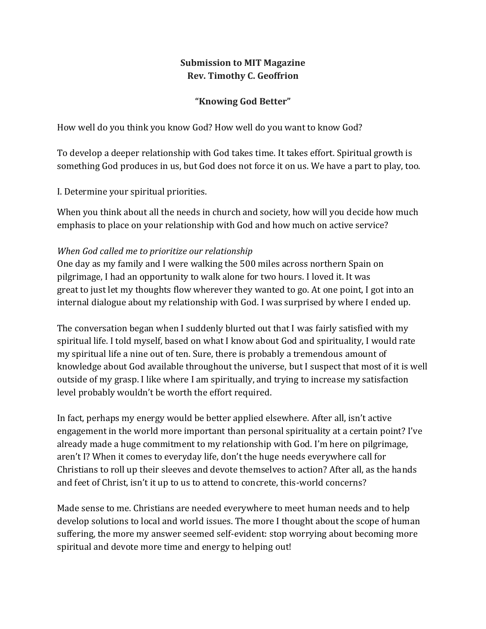## **Submission to MIT Magazine Rev. Timothy C. Geoffrion**

## **"Knowing God Better"**

How well do you think you know God? How well do you want to know God?

To develop a deeper relationship with God takes time. It takes effort. Spiritual growth is something God produces in us, but God does not force it on us. We have a part to play, too.

I. Determine your spiritual priorities.

When you think about all the needs in church and society, how will you decide how much emphasis to place on your relationship with God and how much on active service?

## *When God called me to prioritize our relationship*

One day as my family and I were walking the 500 miles across northern Spain on pilgrimage, I had an opportunity to walk alone for two hours. I loved it. It was great to just let my thoughts flow wherever they wanted to go. At one point, I got into an internal dialogue about my relationship with God. I was surprised by where I ended up.

The conversation began when I suddenly blurted out that I was fairly satisfied with my spiritual life. I told myself, based on what I know about God and spirituality, I would rate my spiritual life a nine out of ten. Sure, there is probably a tremendous amount of knowledge about God available throughout the universe, but I suspect that most of it is well outside of my grasp. I like where I am spiritually, and trying to increase my satisfaction level probably wouldn't be worth the effort required.

In fact, perhaps my energy would be better applied elsewhere. After all, isn't active engagement in the world more important than personal spirituality at a certain point? I've already made a huge commitment to my relationship with God. I'm here on pilgrimage, aren't I? When it comes to everyday life, don't the huge needs everywhere call for Christians to roll up their sleeves and devote themselves to action? After all, as the hands and feet of Christ, isn't it up to us to attend to concrete, this-world concerns?

Made sense to me. Christians are needed everywhere to meet human needs and to help develop solutions to local and world issues. The more I thought about the scope of human suffering, the more my answer seemed self-evident: stop worrying about becoming more spiritual and devote more time and energy to helping out!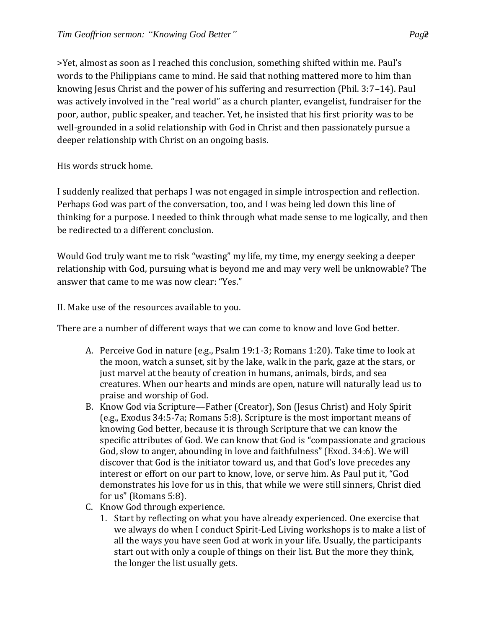>Yet, almost as soon as I reached this conclusion, something shifted within me. Paul's words to the Philippians came to mind. He said that nothing mattered more to him than knowing Jesus Christ and the power of his suffering and resurrection (Phil. 3:7–14). Paul was actively involved in the "real world" as a church planter, evangelist, fundraiser for the poor, author, public speaker, and teacher. Yet, he insisted that his first priority was to be well-grounded in a solid relationship with God in Christ and then passionately pursue a deeper relationship with Christ on an ongoing basis.

His words struck home.

I suddenly realized that perhaps I was not engaged in simple introspection and reflection. Perhaps God was part of the conversation, too, and I was being led down this line of thinking for a purpose. I needed to think through what made sense to me logically, and then be redirected to a different conclusion.

Would God truly want me to risk "wasting" my life, my time, my energy seeking a deeper relationship with God, pursuing what is beyond me and may very well be unknowable? The answer that came to me was now clear: "Yes."

II. Make use of the resources available to you.

There are a number of different ways that we can come to know and love God better.

- A. Perceive God in nature (e.g., Psalm 19:1-3; Romans 1:20). Take time to look at the moon, watch a sunset, sit by the lake, walk in the park, gaze at the stars, or just marvel at the beauty of creation in humans, animals, birds, and sea creatures. When our hearts and minds are open, nature will naturally lead us to praise and worship of God.
- B. Know God via Scripture—Father (Creator), Son (Jesus Christ) and Holy Spirit (e.g., Exodus 34:5-7a; Romans 5:8). Scripture is the most important means of knowing God better, because it is through Scripture that we can know the specific attributes of God. We can know that God is "compassionate and gracious God, slow to anger, abounding in love and faithfulness" (Exod. 34:6). We will discover that God is the initiator toward us, and that God's love precedes any interest or effort on our part to know, love, or serve him. As Paul put it, "God demonstrates his love for us in this, that while we were still sinners, Christ died for us" (Romans 5:8).
- C. Know God through experience.
	- 1. Start by reflecting on what you have already experienced. One exercise that we always do when I conduct Spirit-Led Living workshops is to make a list of all the ways you have seen God at work in your life. Usually, the participants start out with only a couple of things on their list. But the more they think, the longer the list usually gets.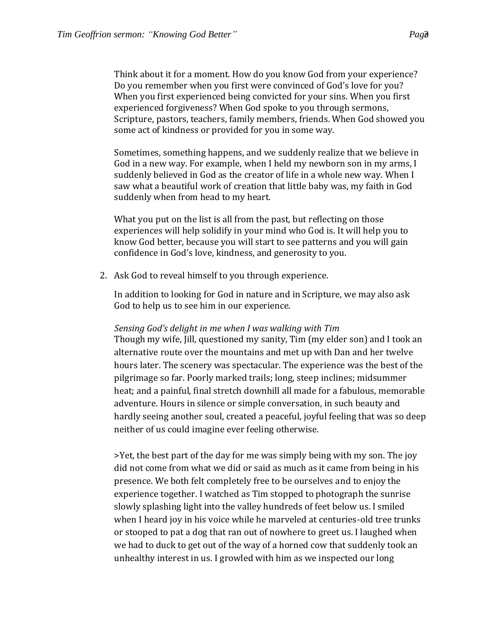Think about it for a moment. How do you know God from your experience? Do you remember when you first were convinced of God's love for you? When you first experienced being convicted for your sins. When you first experienced forgiveness? When God spoke to you through sermons, Scripture, pastors, teachers, family members, friends. When God showed you some act of kindness or provided for you in some way.

Sometimes, something happens, and we suddenly realize that we believe in God in a new way. For example, when I held my newborn son in my arms, I suddenly believed in God as the creator of life in a whole new way. When I saw what a beautiful work of creation that little baby was, my faith in God suddenly when from head to my heart.

What you put on the list is all from the past, but reflecting on those experiences will help solidify in your mind who God is. It will help you to know God better, because you will start to see patterns and you will gain confidence in God's love, kindness, and generosity to you.

2. Ask God to reveal himself to you through experience.

In addition to looking for God in nature and in Scripture, we may also ask God to help us to see him in our experience.

## *Sensing God's delight in me when I was walking with Tim*

Though my wife, Jill, questioned my sanity, Tim (my elder son) and I took an alternative route over the mountains and met up with Dan and her twelve hours later. The scenery was spectacular. The experience was the best of the pilgrimage so far. Poorly marked trails; long, steep inclines; midsummer heat; and a painful, final stretch downhill all made for a fabulous, memorable adventure. Hours in silence or simple conversation, in such beauty and hardly seeing another soul, created a peaceful, joyful feeling that was so deep neither of us could imagine ever feeling otherwise.

>Yet, the best part of the day for me was simply being with my son. The joy did not come from what we did or said as much as it came from being in his presence. We both felt completely free to be ourselves and to enjoy the experience together. I watched as Tim stopped to photograph the sunrise slowly splashing light into the valley hundreds of feet below us. I smiled when I heard joy in his voice while he marveled at centuries-old tree trunks or stooped to pat a dog that ran out of nowhere to greet us. I laughed when we had to duck to get out of the way of a horned cow that suddenly took an unhealthy interest in us. I growled with him as we inspected our long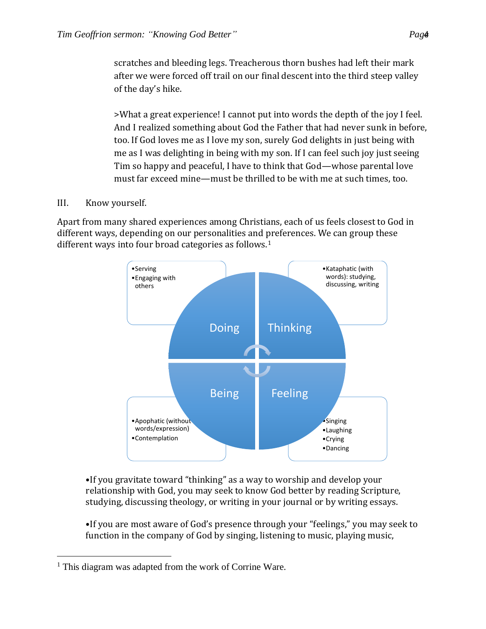>What a great experience! I cannot put into words the depth of the joy I feel. And I realized something about God the Father that had never sunk in before, too. If God loves me as I love my son, surely God delights in just being with me as I was delighting in being with my son. If I can feel such joy just seeing Tim so happy and peaceful, I have to think that God—whose parental love must far exceed mine—must be thrilled to be with me at such times, too.

III. Know yourself.

 $\overline{a}$ 

Apart from many shared experiences among Christians, each of us feels closest to God in different ways, depending on our personalities and preferences. We can group these different ways into four broad categories as follows.<sup>1</sup>



•If you gravitate toward "thinking" as a way to worship and develop your relationship with God, you may seek to know God better by reading Scripture, studying, discussing theology, or writing in your journal or by writing essays.

•If you are most aware of God's presence through your "feelings," you may seek to function in the company of God by singing, listening to music, playing music,

<sup>&</sup>lt;sup>1</sup> This diagram was adapted from the work of Corrine Ware.